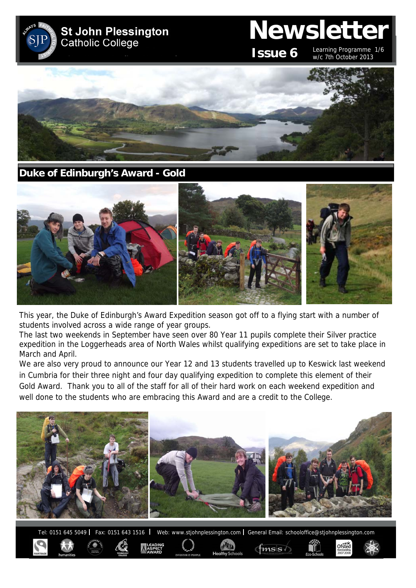

**Duke of Edinburgh's Award - Gold** 



This year, the Duke of Edinburgh's Award Expedition season got off to a flying start with a number of students involved across a wide range of year groups.

The last two weekends in September have seen over 80 Year 11 pupils complete their Silver practice expedition in the Loggerheads area of North Wales whilst qualifying expeditions are set to take place in March and April.

We are also very proud to announce our Year 12 and 13 students travelled up to Keswick last weekend in Cumbria for their three night and four day qualifying expedition to complete this element of their Gold Award. Thank you to all of the staff for all of their hard work on each weekend expedition and well done to the students who are embracing this Award and are a credit to the College.



Tel: 0151 645 5049 | Fax: 0151 643 1516 | Web: www.stjohnplessington.com | General Email: schooloffice@stjohnplessington.com

 $f$ <sub>ms</sub>s

Ofsted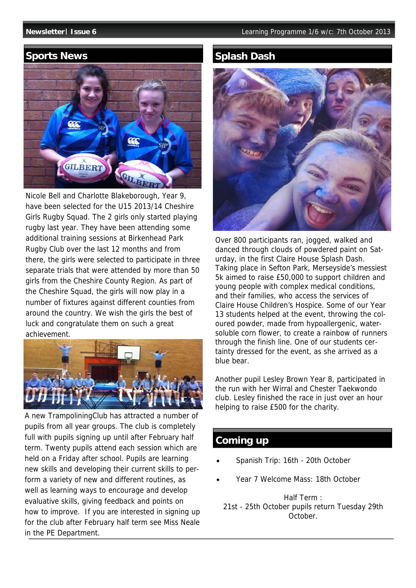## **Sports News**



Nicole Bell and Charlotte Blakeborough, Year 9, have been selected for the U15 2013/14 Cheshire Girls Rugby Squad. The 2 girls only started playing rugby last year. They have been attending some additional training sessions at Birkenhead Park Rugby Club over the last 12 months and from there, the girls were selected to participate in three separate trials that were attended by more than 50 girls from the Cheshire County Region. As part of the Cheshire Squad, the girls will now play in a number of fixtures against different counties from around the country. We wish the girls the best of luck and congratulate them on such a great achievement.



A new TrampoliningClub has attracted a number of pupils from all year groups. The club is completely full with pupils signing up until after February half term. Twenty pupils attend each session which are held on a Friday after school. Pupils are learning new skills and developing their current skills to perform a variety of new and different routines, as well as learning ways to encourage and develop evaluative skills, giving feedback and points on how to improve. If you are interested in signing up for the club after February half term see Miss Neale in the PE Department.

# **Splash Dash**



Over 800 participants ran, jogged, walked and danced through clouds of powdered paint on Saturday, in the first Claire House Splash Dash. Taking place in Sefton Park, Merseyside's messiest 5k aimed to raise £50,000 to support children and young people with complex medical conditions, and their families, who access the services of Claire House Children's Hospice. Some of our Year 13 students helped at the event, throwing the coloured powder, made from hypoallergenic, watersoluble corn flower, to create a rainbow of runners through the finish line. One of our students certainty dressed for the event, as she arrived as a blue bear.

Another pupil Lesley Brown Year 8, participated in the run with her Wirral and Chester Taekwondo club. Lesley finished the race in just over an hour helping to raise £500 for the charity.

## **Coming up**

- Spanish Trip: 16th 20th October
- Year 7 Welcome Mass: 18th October

Half Term : 21st - 25th October pupils return Tuesday 29th October.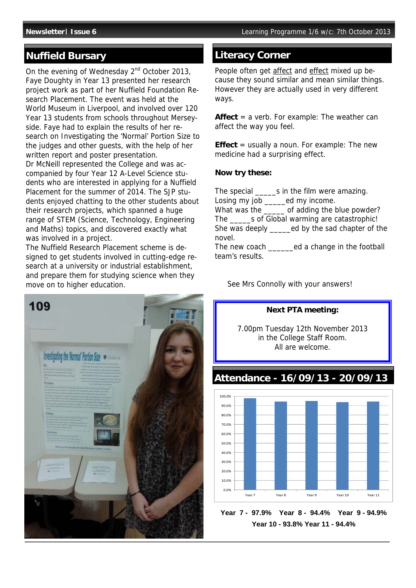# **Nuffield Bursary Community Research Avenue Avenue Avenue Community Community**

On the evening of Wednesday 2<sup>nd</sup> October 2013, Faye Doughty in Year 13 presented her research project work as part of her Nuffield Foundation Research Placement. The event was held at the World Museum in Liverpool, and involved over 120 Year 13 students from schools throughout Merseyside. Faye had to explain the results of her research on Investigating the 'Normal' Portion Size to the judges and other guests, with the help of her written report and poster presentation. Dr McNeill represented the College and was accompanied by four Year 12 A-Level Science students who are interested in applying for a Nuffield

Placement for the summer of 2014. The SJP students enjoyed chatting to the other students about their research projects, which spanned a huge range of STEM (Science, Technology, Engineering and Maths) topics, and discovered exactly what was involved in a project.

The Nuffield Research Placement scheme is designed to get students involved in cutting-edge research at a university or industrial establishment, and prepare them for studying science when they move on to higher education.



People often get affect and effect mixed up because they sound similar and mean similar things. However they are actually used in very different ways.

**Affect** = a verb. For example: The weather can affect the way you feel.

**Effect** = usually a noun. For example: The new medicine had a surprising effect.

#### **Now try these:**

The special \_\_\_\_\_s in the film were amazing. Losing my job \_\_\_\_\_ed my income. What was the \_\_\_\_\_ of adding the blue powder? The s of Global warming are catastrophic! She was deeply \_\_\_\_\_ed by the sad chapter of the novel. The new coach \_\_\_\_\_\_ed a change in the football team's results.

See Mrs Connolly with your answers!



**Year 7 - 97.9% Year 8 - 94.4% Year 9 - 94.9% Year 10 - 93.8% Year 11 - 94.4%**